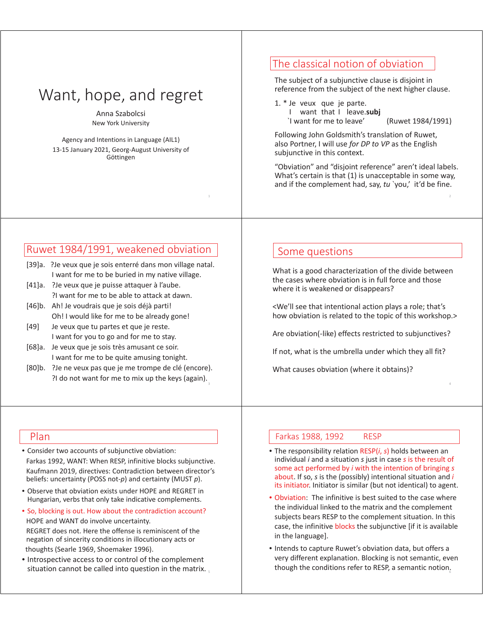# Want, hope, and regret

Anna Szabolcsi New York University

Agency and Intentions in Language (AIL1) 13-15 January 2021, Georg-August University of Göttingen

### The classical notion of obviation

The subject of a subjunctive clause is disjoint in reference from the subject of the next higher clause.

1. \* Je veux que je parte. I want that I leave.**subj** `I want for me to leave' (Ruwet 1984/1991)

Following John Goldsmith's translation of Ruwet, also Portner, I will use *for DP to VP* as the English subjunctive in this context.

"Obviation" and "disjoint reference" aren't ideal labels. What's certain is that (1) is unacceptable in some way, and if the complement had, say, tu 'you,' it'd be fine.

#### Ruwet 1984/1991, weakened obviation

- [39]a.?Je veux que je sois enterré dans mon village natal. I want for me to be buried in my native village.
- [41]a. ?Je veux que je puisse attaquer à l'aube. ?I want for me to be able to attack at dawn.
- [46]b. Ah! Je voudrais que je sois déjà parti! Oh! I would like for me to be already gone!
- [49] Je veux que tu partes et que je reste. I want for you to go and for me to stay.
- [68]a. Je veux que je sois très amusant ce soir. I want for me to be quite amusing tonight.
- [80]b. ?Je ne veux pas que je me trompe de clé (encore). ?I do not want for me to mix up the keys (again). <sup>3</sup>

#### Some questions

What is a good characterization of the divide between the cases where obviation is in full force and those where it is weakened or disappears?

<We'll see that intentional action plays a role; that's how obviation is related to the topic of this workshop.>

Are obviation(-like) effects restricted to subjunctives?

If not, what is the umbrella under which they all fit?

4

What causes obviation (where it obtains)?

#### Plan

• Consider two accounts of subjunctive obviation: Farkas 1992, WANT: When RESP, infinitive blocks subjunctive. Kaufmann 2019, directives: Contradiction between director's beliefs: uncertainty (POSS not-*p*) and certainty (MUST *p*).

- Observe that obviation exists under HOPE and REGRET in Hungarian, verbs that only take indicative complements.
- So, blocking is out. How about the contradiction account? HOPE and WANT do involve uncertainty. REGRET does not. Here the offense is reminiscent of the negation of sincerity conditions in illocutionary acts or thoughts (Searle 1969, Shoemaker 1996).
- Introspective access to or control of the complement situation cannot be called into question in the matrix.

#### Farkas 1988, 1992 RESP

- The responsibility relation RESP(*i*, *s*) holds between an individual *i* and a situation *s* just in case *s* is the result of some act performed by *i* with the intention of bringing *s* about. If so, *s* is the (possibly) intentional situation and *i* its initiator. Initiator is similar (but not identical) to agent.
- Obviation: The infinitive is best suited to the case where the individual linked to the matrix and the complement subjects bears RESP to the complement situation. In this case, the infinitive blocks the subjunctive [if it is available in the language].
- Intends to capture Ruwet's obviation data, but offers a very different explanation. Blocking is not semantic, even though the conditions refer to RESP, a semantic notion.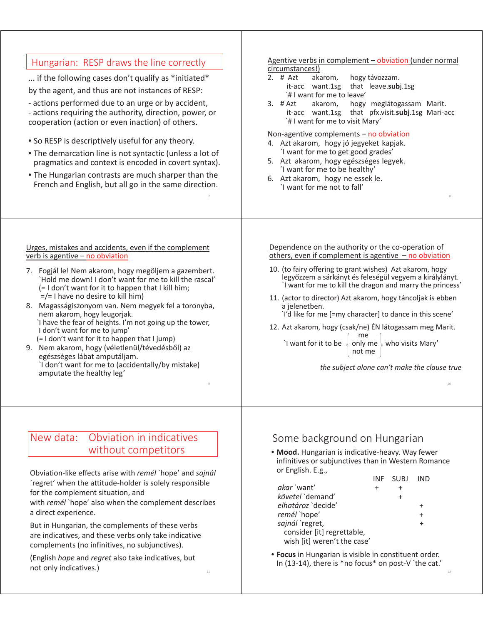| Hungarian: RESP draws the line correctly<br>if the following cases don't qualify as *initiated*<br>by the agent, and thus are not instances of RESP:<br>- actions performed due to an urge or by accident,<br>- actions requiring the authority, direction, power, or<br>cooperation (action or even inaction) of others.<br>• So RESP is descriptively useful for any theory.<br>. The demarcation line is not syntactic (unless a lot of<br>pragmatics and context is encoded in covert syntax).<br>• The Hungarian contrasts are much sharper than the<br>French and English, but all go in the same direction. | Agentive verbs in complement - obviation (under normal<br>circumstances!)<br>2. $#$ Azt<br>akarom,<br>hogy távozzam.<br>that leave.subj.1sg<br>it-acc want.1sg<br>`# I want for me to leave'<br>$3.$ # Azt<br>hogy meglátogassam Marit.<br>akarom,<br>it-acc want.1sg that pfx.visit.subj.1sg Mari-acc<br>`# I want for me to visit Mary'<br>Non-agentive complements - no obviation<br>4. Azt akarom, hogy jó jegyeket kapjak.<br>'I want for me to get good grades'<br>5. Azt akarom, hogy egészséges legyek.<br>'I want for me to be healthy'<br>6. Azt akarom, hogy ne essek le.<br>'I want for me not to fall' |
|--------------------------------------------------------------------------------------------------------------------------------------------------------------------------------------------------------------------------------------------------------------------------------------------------------------------------------------------------------------------------------------------------------------------------------------------------------------------------------------------------------------------------------------------------------------------------------------------------------------------|---------------------------------------------------------------------------------------------------------------------------------------------------------------------------------------------------------------------------------------------------------------------------------------------------------------------------------------------------------------------------------------------------------------------------------------------------------------------------------------------------------------------------------------------------------------------------------------------------------------------|
| Urges, mistakes and accidents, even if the complement                                                                                                                                                                                                                                                                                                                                                                                                                                                                                                                                                              | Dependence on the authority or the co-operation of                                                                                                                                                                                                                                                                                                                                                                                                                                                                                                                                                                  |
| verb is agentive - no obviation                                                                                                                                                                                                                                                                                                                                                                                                                                                                                                                                                                                    | others, even if complement is agentive $-$ no obviation                                                                                                                                                                                                                                                                                                                                                                                                                                                                                                                                                             |
| 7. Fogjál le! Nem akarom, hogy megöljem a gazembert.                                                                                                                                                                                                                                                                                                                                                                                                                                                                                                                                                               | 10. (to fairy offering to grant wishes) Azt akarom, hogy                                                                                                                                                                                                                                                                                                                                                                                                                                                                                                                                                            |
| 'Hold me down! I don't want for me to kill the rascal'                                                                                                                                                                                                                                                                                                                                                                                                                                                                                                                                                             | legyőzzem a sárkányt és feleségül vegyem a királylányt.                                                                                                                                                                                                                                                                                                                                                                                                                                                                                                                                                             |
| (= I don't want for it to happen that I kill him;                                                                                                                                                                                                                                                                                                                                                                                                                                                                                                                                                                  | 'I want for me to kill the dragon and marry the princess'                                                                                                                                                                                                                                                                                                                                                                                                                                                                                                                                                           |
| $=$ /= I have no desire to kill him)                                                                                                                                                                                                                                                                                                                                                                                                                                                                                                                                                                               | 11. (actor to director) Azt akarom, hogy táncoljak is ebben                                                                                                                                                                                                                                                                                                                                                                                                                                                                                                                                                         |
| 8. Magasságiszonyom van. Nem megyek fel a toronyba,                                                                                                                                                                                                                                                                                                                                                                                                                                                                                                                                                                | a jelenetben.                                                                                                                                                                                                                                                                                                                                                                                                                                                                                                                                                                                                       |
| nem akarom, hogy leugorjak.                                                                                                                                                                                                                                                                                                                                                                                                                                                                                                                                                                                        | 'I'd like for me [=my character] to dance in this scene'                                                                                                                                                                                                                                                                                                                                                                                                                                                                                                                                                            |
| 'I have the fear of heights. I'm not going up the tower,                                                                                                                                                                                                                                                                                                                                                                                                                                                                                                                                                           | 12. Azt akarom, hogy (csak/ne) ÉN látogassam meg Marit.                                                                                                                                                                                                                                                                                                                                                                                                                                                                                                                                                             |
| I don't want for me to jump'                                                                                                                                                                                                                                                                                                                                                                                                                                                                                                                                                                                       | me                                                                                                                                                                                                                                                                                                                                                                                                                                                                                                                                                                                                                  |
| (= I don't want for it to happen that I jump)                                                                                                                                                                                                                                                                                                                                                                                                                                                                                                                                                                      | I want for it to be                                                                                                                                                                                                                                                                                                                                                                                                                                                                                                                                                                                                 |
| 9. Nem akarom, hogy (véletlenül/tévedésből) az                                                                                                                                                                                                                                                                                                                                                                                                                                                                                                                                                                     | only me $\downarrow$ who visits Mary'                                                                                                                                                                                                                                                                                                                                                                                                                                                                                                                                                                               |
| egészséges lábat amputáljam.                                                                                                                                                                                                                                                                                                                                                                                                                                                                                                                                                                                       | not me                                                                                                                                                                                                                                                                                                                                                                                                                                                                                                                                                                                                              |
| 'I don't want for me to (accidentally/by mistake)                                                                                                                                                                                                                                                                                                                                                                                                                                                                                                                                                                  | the subject alone can't make the clause true                                                                                                                                                                                                                                                                                                                                                                                                                                                                                                                                                                        |
| amputate the healthy leg'                                                                                                                                                                                                                                                                                                                                                                                                                                                                                                                                                                                          | 10                                                                                                                                                                                                                                                                                                                                                                                                                                                                                                                                                                                                                  |
| New data:                                                                                                                                                                                                                                                                                                                                                                                                                                                                                                                                                                                                          | Some background on Hungarian                                                                                                                                                                                                                                                                                                                                                                                                                                                                                                                                                                                        |
| Obviation in indicatives                                                                                                                                                                                                                                                                                                                                                                                                                                                                                                                                                                                           | . Mood. Hungarian is indicative-heavy. Way fewer                                                                                                                                                                                                                                                                                                                                                                                                                                                                                                                                                                    |
| without competitors                                                                                                                                                                                                                                                                                                                                                                                                                                                                                                                                                                                                | infinitives or subjunctives than in Western Romance                                                                                                                                                                                                                                                                                                                                                                                                                                                                                                                                                                 |
| Obviation-like effects arise with remél `hope' and sajnál                                                                                                                                                                                                                                                                                                                                                                                                                                                                                                                                                          | or English. E.g.,                                                                                                                                                                                                                                                                                                                                                                                                                                                                                                                                                                                                   |

`regret' when the attitude-holder is solely responsible for the complement situation, and with *remél* `hope' also when the complement describes a direct experience.

But in Hungarian, the complements of these verbs are indicatives, and these verbs only take indicative complements (no infinitives, no subjunctives).

(English *hope* and *regret* also take indicatives, but not only indicatives.)  $11$  or English. E.g., INF SUBJ IND

|                             | $11 \times F$ | - 30 61   | 11 V 17   |
|-----------------------------|---------------|-----------|-----------|
| <i>akar`</i> want'          | ÷             | $\ddot{}$ |           |
| <i>követel</i> `demand'     |               | $\ddot{}$ |           |
| <i>elhatároz`</i> decide'   |               |           | $\pm$     |
| <i>remél`</i> hope′         |               |           | $\ddot{}$ |
| sajnál `regret,             |               |           | $+$       |
| consider [it] regrettable,  |               |           |           |
| wish [it] weren't the case' |               |           |           |
|                             |               |           |           |

• **Focus** in Hungarian is visible in constituent order. In (13-14), there is \*no focus\* on post-V `the cat.'

12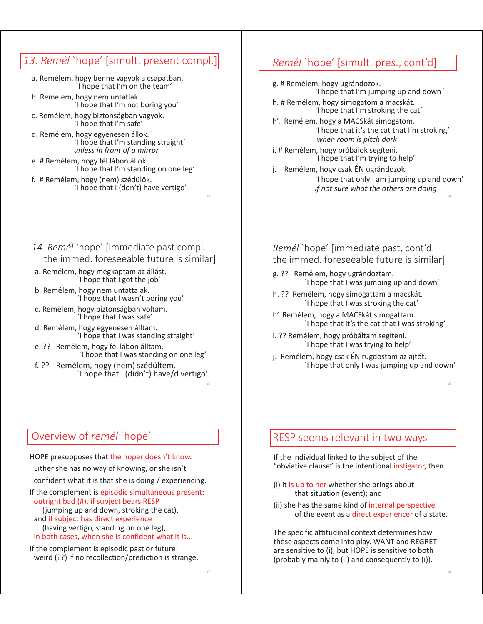#### 13. Remél `hope' [simult. present compl.] a. Remélem, hogy benne vagyok a csapatban. `I hope that I'm on the team' b. Remélem, hogy nem untatlak. `I hope that I'm not boring you' c. Remélem, hogy biztonságban vagyok. `I hope that I'm safe' d. Remélem, hogy egyenesen állok. `I hope that I'm standing straight' *unless in front of a mirror* e. # Remélem, hogy fél lábon állok. `I hope that I'm standing on one leg' f.# Remélem, hogy (nem) szédülök. `I hope that I (don't) have vertigo' *Remél `hope'* [simult. pres., cont'd] g. # Remélem, hogy ugrándozok. `I hope that I'm jumping up and down' h. # Remélem, hogy simogatom a macskát. `I hope that I'm stroking the cat' h'. Remélem, hogy a MACSkát simogatom. `I hope that it's the cat that I'm stroking' *when room is pitch dark* i. # Remélem, hogy próbálok segíteni. `I hope that I'm trying to help' j. Remélem, hogy csak ÉN ugrándozok. `I hope that only I am jumping up and down' *if not sure what the others are doing* 14 14. Remél `hope' [immediate past compl. the immed. foreseeable future is similar] a. Remélem, hogy megkaptam az állást. `I hope that I got the job' b. Remélem, hogy nem untattalak. `I hope that I wasn't boring you' c. Remélem, hogy biztonságban voltam. `I hope that I was safe' d. Remélem, hogy egyenesen álltam. `I hope that I was standing straight' e. ?? Remélem, hogy fél lábon álltam. `I hope that I was standing on one leg' f. ?? Remélem, hogy (nem) szédültem. `I hope that I (didn't) have/d vertigo' *Remél* `hope' [immediate past, cont'd. the immed. foreseeable future is similar] g. ?? Remélem, hogy ugrándoztam. `I hope that I was jumping up and down' h. ?? Remélem, hogy simogattam a macskát. `I hope that I was stroking the cat' h'. Remélem, hogy a MACSkát simogattam. `I hope that it's the cat that I was stroking' i. ?? Remélem, hogy próbáltam segíteni. `I hope that I was trying to help' j. Remélem, hogy csak ÉN rugdostam az ajtót. `I hope that only I was jumping up and down' 16

### Overview of *remél* `hope'

HOPE presupposes that the hoper doesn't know.

Either she has no way of knowing, or she isn't

confident what it is that she is doing / experiencing.

If the complement is episodic simultaneous present: outright bad (#), if subject bears RESP

(jumping up and down, stroking the cat),

and if subject has direct experience (having vertigo, standing on one leg),

in both cases, when she is confident what it is...

If the complement is episodic past or future: weird (??) if no recollection/prediction is strange.

### RESP seems relevant in two ways

If the individual linked to the subject of the "obviative clause" is the intentional instigator, then

- (i) it is up to her whether she brings about that situation (event); and
- (ii) she has the same kind of internal perspective of the event as a direct experiencer of a state.

The specific attitudinal context determines how these aspects come into play. WANT and REGRET are sensitive to (i), but HOPE is sensitive to both (probably mainly to (ii) and consequently to (i)).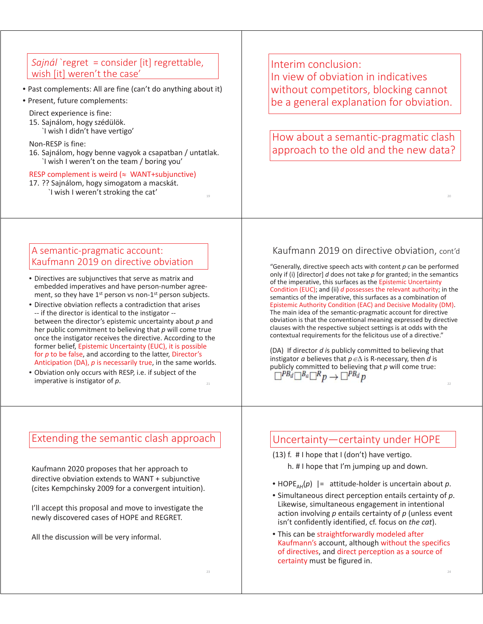#### *Sajnál* `regret = consider [it] regrettable, wish [it] weren't the case'

- Past complements: All are fine (can't do anything about it)
- Present, future complements:

Direct experience is fine:

15. Sajnálom, hogy szédülök. `I wish I didn't have vertigo'

#### Non-RESP is fine:

16. Sajnálom, hogy benne vagyok a csapatban / untatlak. `I wish I weren't on the team / boring you'

#### RESP complement is weird ( $\approx$  WANT+subjunctive)

17. ?? Sajnálom, hogy simogatom a macskát. `I wish I weren't stroking the cat'

### Interim conclusion: In view of obviation in indicatives without competitors, blocking cannot be a general explanation for obviation.

How about a semantic-pragmatic clash approach to the old and the new data?

#### A semantic-pragmatic account: Kaufmann 2019 on directive obviation

- Directives are subjunctives that serve as matrix and embedded imperatives and have person-number agreement, so they have 1<sup>st</sup> person vs non-1<sup>st</sup> person subjects.
- Directive obviation reflects a contradiction that arises -- if the director is identical to the instigator -between the director's epistemic uncertainty about *p* and her public commitment to believing that *p* will come true once the instigator receives the directive. According to the former belief, Epistemic Uncertainty (EUC), it is possible for *p* to be false, and according to the latter, Director's Anticipation (DA), *p* is necessarily true, in the same worlds.
- Obviation only occurs with RESP, i.e. if subject of the imperative is instigator of  $p$ .

## Extending the semantic clash approach

Kaufmann 2020 proposes that her approach to directive obviation extends to WANT + subjunctive (cites Kempchinsky 2009 for a convergent intuition).

I'll accept this proposal and move to investigate the newly discovered cases of HOPE and REGRET.

All the discussion will be very informal.

### Kaufmann 2019 on directive obviation, cont'd

"Generally, directive speech acts with content *p* can be performed only if (i) [director] *d* does not take *p* for granted; in the semantics of the imperative, this surfaces as the Epistemic Uncertainty Condition (EUC); and (ii) *d* possesses the relevant authority; in the semantics of the imperative, this surfaces as a combination of Epistemic Authority Condition (EAC) and Decisive Modality (DM). The main idea of the semantic-pragmatic account for directive obviation is that the conventional meaning expressed by directive clauses with the respective subject settings is at odds with the contextual requirements for the felicitous use of a directive."

(DA) If director *d* is publicly committed to believing that instigator *a* believes that  $p \in \Delta$  is R-necessary, then *d* is publicly committed to believing that *p* will come true:<br>  $\Box^{PB_d} \Box^{B_a} \Box^R p \rightarrow \Box^{PB_d} p$ 

### Uncertainty—certainty under HOPE

(13) f.  $#$  I hope that I (don't) have vertigo.

- h. # I hope that I'm jumping up and down.
- HOPE<sub>AH</sub> $(p)$  |= attitude-holder is uncertain about *p*.
- Simultaneous direct perception entails certainty of *p*. Likewise, simultaneous engagement in intentional action involving *p* entails certainty of *p* (unless event isn't confidently identified, cf. focus on *the cat*).
- This can be straightforwardly modeled after Kaufmann's account, although without the specifics of directives, and direct perception as a source of certainty must be figured in.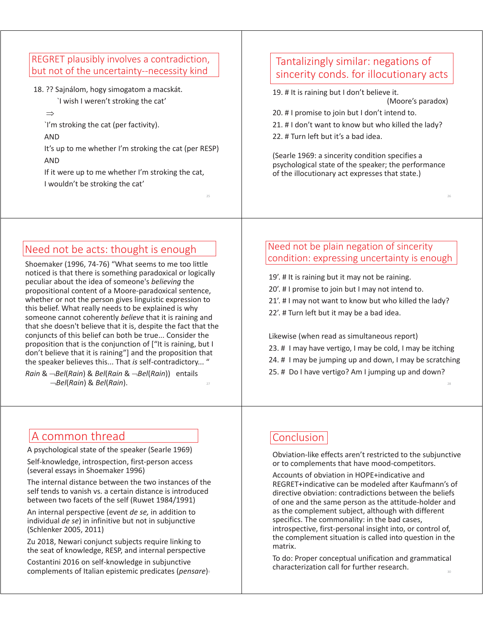#### REGRET plausibly involves a contradiction, but not of the uncertainty--necessity kind

18. ?? Sajnálom, hogy simogatom a macskát.

`I wish I weren't stroking the cat'

 $\Rightarrow$ 

`I'm stroking the cat (per factivity).

AND

It's up to me whether I'm stroking the cat (per RESP) AND

If it were up to me whether I'm stroking the cat, I wouldn't be stroking the cat'

### Tantalizingly similar: negations of sincerity conds. for illocutionary acts

19. # It is raining but I don't believe it.

(Moore's paradox)

26

28

20. # I promise to join but I don't intend to.

21. # I don't want to know but who killed the lady?

22. # Turn left but it's a bad idea.

(Searle 1969: a sincerity condition specifies a psychological state of the speaker; the performance of the illocutionary act expresses that state.)

### Need not be acts: thought is enough

Shoemaker (1996, 74-76) "What seems to me too little noticed is that there is something paradoxical or logically peculiar about the idea of someone's *believing* the propositional content of a Moore-paradoxical sentence, whether or not the person gives linguistic expression to this belief. What really needs to be explained is why someone cannot coherently *believe* that it is raining and that she doesn't believe that it is, despite the fact that the conjuncts of this belief can both be true... Consider the proposition that is the conjunction of ["It is raining, but I don't believe that it is raining"] and the proposition that the speaker believes this... That *is* self-contradictory... "

*Rain* & *Bel*(*Rain*) & *Bel*(*Rain* & *Bel*(*Rain*))entails *Bel*(*Rain*) & *Bel*(*Rain*). <sup>27</sup>

# A common thread

A psychological state of the speaker (Searle 1969) Self-knowledge, introspection, first-person access (several essays in Shoemaker 1996)

The internal distance between the two instances of the self tends to vanish vs. a certain distance is introduced between two facets of the self (Ruwet 1984/1991)

An internal perspective (event *de se,* in addition to individual *de se*) in infinitive but not in subjunctive (Schlenker 2005, 2011)

Zu 2018, Newari conjunct subjects require linking to the seat of knowledge, RESP, and internal perspective

Costantini 2016 on self-knowledge in subjunctive complements of Italian epistemic predicates (*pensare*) 29

#### Need not be plain negation of sincerity condition: expressing uncertainty is enough

19'. # It is raining but it may not be raining. 20'. # I promise to join but I may not intend to.

- 21'. # I may not want to know but who killed the lady?
- 22'. # Turn left but it may be a bad idea.

Likewise (when read as simultaneous report) 23.  $#$  I may have vertigo, I may be cold, I may be itching 24. # I may be jumping up and down, I may be scratching 25. # Do I have vertigo? Am I jumping up and down?

# **Conclusion**

Obviation-like effects aren't restricted to the subjunctive or to complements that have mood-competitors.

Accounts of obviation in HOPE+indicative and REGRET+indicative can be modeled after Kaufmann's of directive obviation: contradictions between the beliefs of one and the same person as the attitude-holder and as the complement subject, although with different specifics. The commonality: in the bad cases, introspective, first-personal insight into, or control of, the complement situation is called into question in the matrix.

To do: Proper conceptual unification and grammatical characterization call for further research.